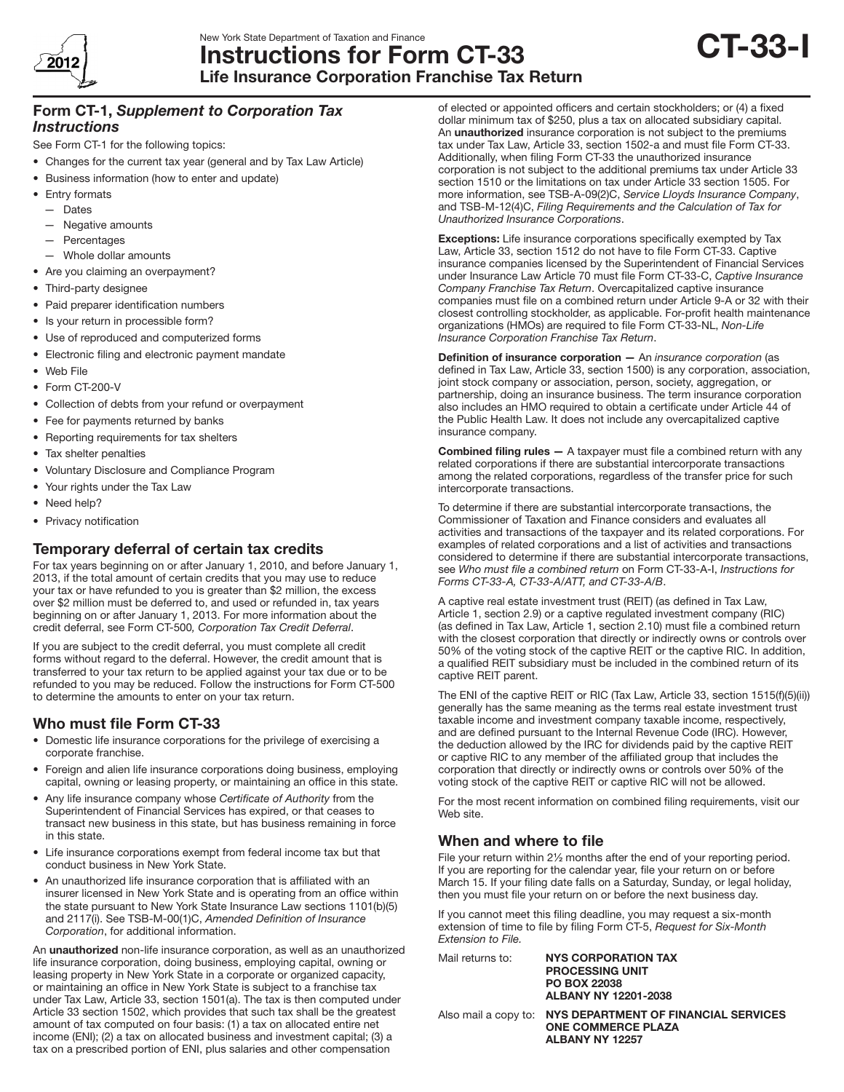

# New York State Department of Taxation and Finance Instructions for Form CT-33 Life Insurance Corporation Franchise Tax Return



# Form CT-1, *Supplement to Corporation Tax Instructions*

See Form CT-1 for the following topics:

- Changes for the current tax year (general and by Tax Law Article)
- Business information (how to enter and update)
- Entry formats
	- Dates
	- Negative amounts
	- **Percentages**
	- Whole dollar amounts
- Are you claiming an overpayment?
- Third-party designee
- • Paid preparer identification numbers
- Is your return in processible form?
- • Use of reproduced and computerized forms
- • Electronic filing and electronic payment mandate
- • Web File
- Form CT-200-V
- Collection of debts from your refund or overpayment
- Fee for payments returned by banks
- Reporting requirements for tax shelters
- Tax shelter penalties
- • Voluntary Disclosure and Compliance Program
- Your rights under the Tax Law
- Need help?
- Privacy notification

# Temporary deferral of certain tax credits

For tax years beginning on or after January 1, 2010, and before January 1, 2013, if the total amount of certain credits that you may use to reduce your tax or have refunded to you is greater than \$2 million, the excess over \$2 million must be deferred to, and used or refunded in, tax years beginning on or after January 1, 2013. For more information about the credit deferral, see Form CT-500*, Corporation Tax Credit Deferral*.

If you are subject to the credit deferral, you must complete all credit forms without regard to the deferral. However, the credit amount that is transferred to your tax return to be applied against your tax due or to be refunded to you may be reduced. Follow the instructions for Form CT-500 to determine the amounts to enter on your tax return.

# Who must file Form CT-33

- • Domestic life insurance corporations for the privilege of exercising a corporate franchise.
- Foreign and alien life insurance corporations doing business, employing capital, owning or leasing property, or maintaining an office in this state.
- • Any life insurance company whose *Certificate of Authority* from the Superintendent of Financial Services has expired, or that ceases to transact new business in this state, but has business remaining in force in this state.
- Life insurance corporations exempt from federal income tax but that conduct business in New York State.
- An unauthorized life insurance corporation that is affiliated with an insurer licensed in New York State and is operating from an office within the state pursuant to New York State Insurance Law sections 1101(b)(5) and 2117(i). See TSB‑M‑00(1)C, *Amended Definition of Insurance Corporation*, for additional information.

An unauthorized non-life insurance corporation, as well as an unauthorized life insurance corporation, doing business, employing capital, owning or leasing property in New York State in a corporate or organized capacity, or maintaining an office in New York State is subject to a franchise tax under Tax Law, Article 33, section 1501(a). The tax is then computed under Article 33 section 1502, which provides that such tax shall be the greatest amount of tax computed on four basis: (1) a tax on allocated entire net income (ENI); (2) a tax on allocated business and investment capital; (3) a tax on a prescribed portion of ENI, plus salaries and other compensation

of elected or appointed officers and certain stockholders; or (4) a fixed dollar minimum tax of \$250, plus a tax on allocated subsidiary capital. An unauthorized insurance corporation is not subject to the premiums tax under Tax Law, Article 33, section 1502-a and must file Form CT-33. Additionally, when filing Form CT-33 the unauthorized insurance corporation is not subject to the additional premiums tax under Article 33 section 1510 or the limitations on tax under Article 33 section 1505. For more information, see TSB-A-09(2)C, *Service Lloyds Insurance Company*, and TSB-M-12(4)C, *Filing Requirements and the Calculation of Tax for Unauthorized Insurance Corporations*.

**Exceptions:** Life insurance corporations specifically exempted by Tax Law, Article 33, section 1512 do not have to file Form CT-33. Captive insurance companies licensed by the Superintendent of Financial Services under Insurance Law Article 70 must file Form CT-33-C, *Captive Insurance Company Franchise Tax Return*. Overcapitalized captive insurance companies must file on a combined return under Article 9-A or 32 with their closest controlling stockholder, as applicable. For-profit health maintenance organizations (HMOs) are required to file Form CT-33-NL, *Non-Life Insurance Corporation Franchise Tax Return*.

Definition of insurance corporation — An *insurance corporation* (as defined in Tax Law, Article 33, section 1500) is any corporation, association, joint stock company or association, person, society, aggregation, or partnership, doing an insurance business. The term insurance corporation also includes an HMO required to obtain a certificate under Article 44 of the Public Health Law. It does not include any overcapitalized captive insurance company.

Combined filing rules — A taxpayer must file a combined return with any related corporations if there are substantial intercorporate transactions among the related corporations, regardless of the transfer price for such intercorporate transactions.

To determine if there are substantial intercorporate transactions, the Commissioner of Taxation and Finance considers and evaluates all activities and transactions of the taxpayer and its related corporations. For examples of related corporations and a list of activities and transactions considered to determine if there are substantial intercorporate transactions, see *Who must file a combined return* on Form CT-33-A-I, *Instructions for Forms CT-33-A, CT-33-A/ATT, and CT-33-A/B*.

A captive real estate investment trust (REIT) (as defined in Tax Law, Article 1, section 2.9) or a captive regulated investment company (RIC) (as defined in Tax Law, Article 1, section 2.10) must file a combined return with the closest corporation that directly or indirectly owns or controls over 50% of the voting stock of the captive REIT or the captive RIC. In addition, a qualified REIT subsidiary must be included in the combined return of its captive REIT parent.

The ENI of the captive REIT or RIC (Tax Law, Article 33, section 1515(f)(5)(ii)) generally has the same meaning as the terms real estate investment trust taxable income and investment company taxable income, respectively, and are defined pursuant to the Internal Revenue Code (IRC). However, the deduction allowed by the IRC for dividends paid by the captive REIT or captive RIC to any member of the affiliated group that includes the corporation that directly or indirectly owns or controls over 50% of the voting stock of the captive REIT or captive RIC will not be allowed.

For the most recent information on combined filing requirements, visit our Web site.

# When and where to file

File your return within 2½ months after the end of your reporting period. If you are reporting for the calendar year, file your return on or before March 15. If your filing date falls on a Saturday, Sunday, or legal holiday, then you must file your return on or before the next business day.

If you cannot meet this filing deadline, you may request a six-month extension of time to file by filing Form CT-5, *Request for Six-Month Extension to File.*

| Mail returns to: | <b>NYS CORPORATION TAX</b><br><b>PROCESSING UNIT</b><br><b>PO BOX 22038</b><br>ALBANY NY 12201-2038               |
|------------------|-------------------------------------------------------------------------------------------------------------------|
|                  | Also mail a copy to:  NYS DEPARTMENT OF FINANCIAL SERVICES<br><b>ONE COMMERCE PLAZA</b><br><b>ALBANY NY 12257</b> |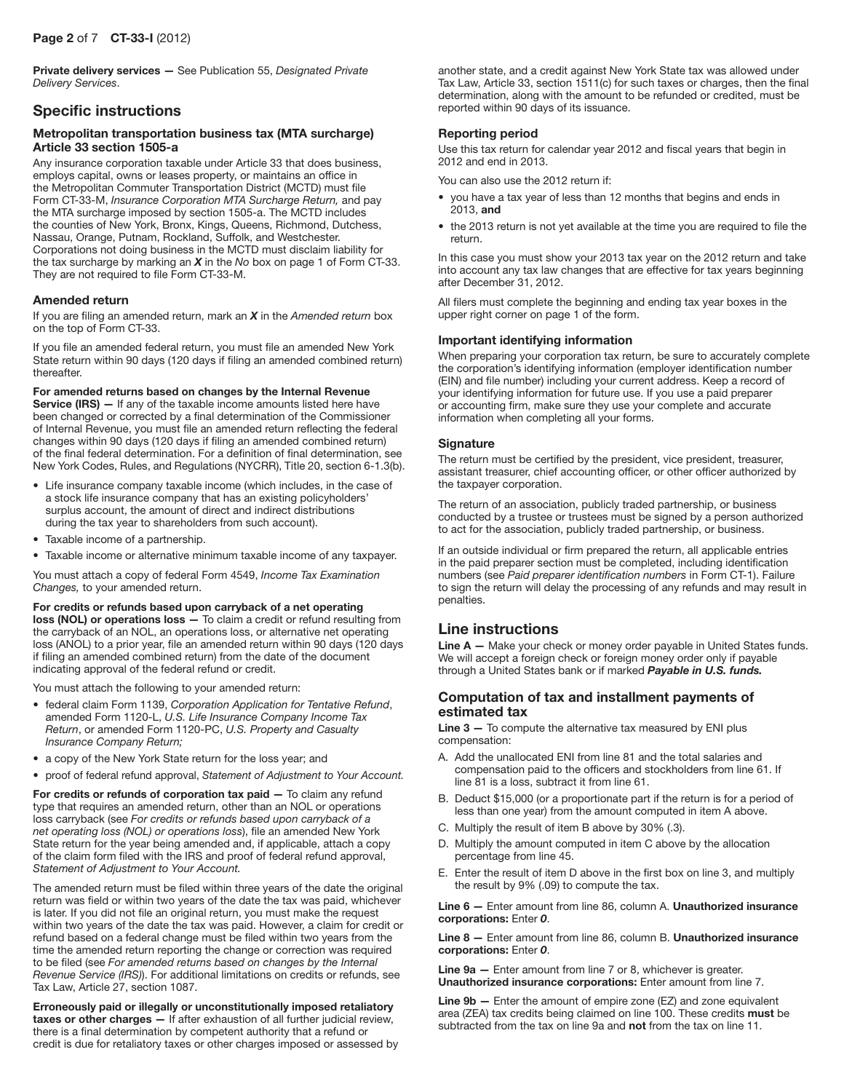## Page 2 of 7 CT-33-I (2012)

Private delivery services — See Publication 55, *Designated Private Delivery Services*.

# Specific instructions

#### Metropolitan transportation business tax (MTA surcharge) Article 33 section 1505-a

Any insurance corporation taxable under Article 33 that does business, employs capital, owns or leases property, or maintains an office in the Metropolitan Commuter Transportation District (MCTD) must file Form CT-33-M, *Insurance Corporation MTA Surcharge Return,* and pay the MTA surcharge imposed by section 1505-a. The MCTD includes the counties of New York, Bronx, Kings, Queens, Richmond, Dutchess, Nassau, Orange, Putnam, Rockland, Suffolk, and Westchester. Corporations not doing business in the MCTD must disclaim liability for the tax surcharge by marking an *X* in the *No* box on page 1 of Form CT-33. They are not required to file Form CT-33-M.

#### Amended return

If you are filing an amended return, mark an *X* in the *Amended return* box on the top of Form CT-33.

If you file an amended federal return, you must file an amended New York State return within 90 days (120 days if filing an amended combined return) thereafter.

For amended returns based on changes by the Internal Revenue Service (IRS) - If any of the taxable income amounts listed here have been changed or corrected by a final determination of the Commissioner of Internal Revenue, you must file an amended return reflecting the federal changes within 90 days (120 days if filing an amended combined return) of the final federal determination. For a definition of final determination, see New York Codes, Rules, and Regulations (NYCRR), Title 20, section 6-1.3(b).

- • Life insurance company taxable income (which includes, in the case of a stock life insurance company that has an existing policyholders' surplus account, the amount of direct and indirect distributions during the tax year to shareholders from such account).
- Taxable income of a partnership.
- Taxable income or alternative minimum taxable income of any taxpayer.

You must attach a copy of federal Form 4549, *Income Tax Examination Changes,* to your amended return.

For credits or refunds based upon carryback of a net operating loss (NOL) or operations loss — To claim a credit or refund resulting from the carryback of an NOL, an operations loss, or alternative net operating loss (ANOL) to a prior year, file an amended return within 90 days (120 days if filing an amended combined return) from the date of the document indicating approval of the federal refund or credit.

You must attach the following to your amended return:

- • federal claim Form 1139, *Corporation Application for Tentative Refund*, amended Form 1120-L, *U.S. Life Insurance Company Income Tax Return*, or amended Form 1120-PC, *U.S. Property and Casualty Insurance Company Return;*
- a copy of the New York State return for the loss year; and
- • proof of federal refund approval, *Statement of Adjustment to Your Account.*

For credits or refunds of corporation tax paid - To claim any refund type that requires an amended return, other than an NOL or operations loss carryback (see *For credits or refunds based upon carryback of a net operating loss (NOL) or operations loss*), file an amended New York State return for the year being amended and, if applicable, attach a copy of the claim form filed with the IRS and proof of federal refund approval, *Statement of Adjustment to Your Account.*

The amended return must be filed within three years of the date the original return was field or within two years of the date the tax was paid, whichever is later. If you did not file an original return, you must make the request within two years of the date the tax was paid. However, a claim for credit or refund based on a federal change must be filed within two years from the time the amended return reporting the change or correction was required to be filed (see *For amended returns based on changes by the Internal Revenue Service (IRS)*). For additional limitations on credits or refunds, see Tax Law, Article 27, section 1087.

Erroneously paid or illegally or unconstitutionally imposed retaliatory taxes or other charges — If after exhaustion of all further judicial review, there is a final determination by competent authority that a refund or credit is due for retaliatory taxes or other charges imposed or assessed by

another state, and a credit against New York State tax was allowed under Tax Law, Article 33, section 1511(c) for such taxes or charges, then the final determination, along with the amount to be refunded or credited, must be reported within 90 days of its issuance.

## Reporting period

Use this tax return for calendar year 2012 and fiscal years that begin in 2012 and end in 2013.

You can also use the 2012 return if:

- you have a tax year of less than 12 months that begins and ends in 2013, and
- the 2013 return is not yet available at the time you are required to file the return.

In this case you must show your 2013 tax year on the 2012 return and take into account any tax law changes that are effective for tax years beginning after December 31, 2012.

All filers must complete the beginning and ending tax year boxes in the upper right corner on page 1 of the form.

#### Important identifying information

When preparing your corporation tax return, be sure to accurately complete the corporation's identifying information (employer identification number (EIN) and file number) including your current address. Keep a record of your identifying information for future use. If you use a paid preparer or accounting firm, make sure they use your complete and accurate information when completing all your forms.

#### **Signature**

The return must be certified by the president, vice president, treasurer, assistant treasurer, chief accounting officer, or other officer authorized by the taxpayer corporation.

The return of an association, publicly traded partnership, or business conducted by a trustee or trustees must be signed by a person authorized to act for the association, publicly traded partnership, or business.

If an outside individual or firm prepared the return, all applicable entries in the paid preparer section must be completed, including identification numbers (see *Paid preparer identification numbers* in Form CT-1). Failure to sign the return will delay the processing of any refunds and may result in penalties.

# Line instructions

Line A - Make your check or money order payable in United States funds. We will accept a foreign check or foreign money order only if payable through a United States bank or if marked *Payable in U.S. funds.*

### Computation of tax and installment payments of estimated tax

Line  $3 -$  To compute the alternative tax measured by ENI plus compensation:

- A. Add the unallocated ENI from line 81 and the total salaries and compensation paid to the officers and stockholders from line 61. If line 81 is a loss, subtract it from line 61.
- B. Deduct \$15,000 (or a proportionate part if the return is for a period of less than one year) from the amount computed in item A above.
- C. Multiply the result of item B above by 30% (.3).
- D. Multiply the amount computed in item C above by the allocation percentage from line 45.
- E. Enter the result of item D above in the first box on line 3, and multiply the result by 9% (.09) to compute the tax.

Line 6 — Enter amount from line 86, column A. Unauthorized insurance corporations: Enter *0*.

Line 8 - Enter amount from line 86, column B. Unauthorized insurance corporations: Enter *0*.

Line 9a - Enter amount from line 7 or 8, whichever is greater. Unauthorized insurance corporations: Enter amount from line 7.

**Line**  $9b$  - Enter the amount of empire zone (EZ) and zone equivalent area (ZEA) tax credits being claimed on line 100. These credits must be subtracted from the tax on line 9a and not from the tax on line 11.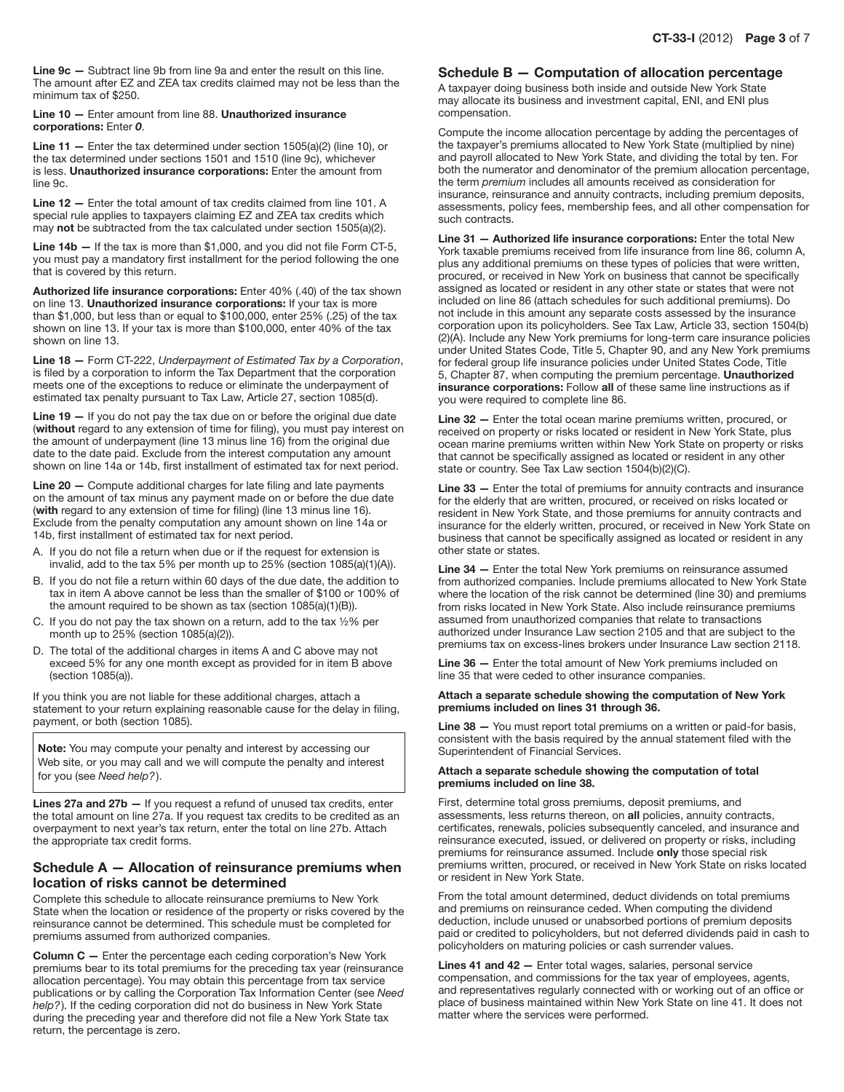Line 9c — Subtract line 9b from line 9a and enter the result on this line. The amount after EZ and ZEA tax credits claimed may not be less than the minimum tax of \$250.

Line 10 — Enter amount from line 88. Unauthorized insurance corporations: Enter *0*.

Line  $11 -$  Enter the tax determined under section 1505(a)(2) (line 10), or the tax determined under sections 1501 and 1510 (line 9c), whichever is less. Unauthorized insurance corporations: Enter the amount from line 9c.

Line 12 - Enter the total amount of tax credits claimed from line 101. A special rule applies to taxpayers claiming EZ and ZEA tax credits which may not be subtracted from the tax calculated under section 1505(a)(2).

**Line 14b –** If the tax is more than \$1,000, and you did not file Form CT-5, you must pay a mandatory first installment for the period following the one that is covered by this return.

Authorized life insurance corporations: Enter 40% (.40) of the tax shown on line 13. Unauthorized insurance corporations: If your tax is more than \$1,000, but less than or equal to \$100,000, enter 25% (.25) of the tax shown on line 13. If your tax is more than \$100,000, enter 40% of the tax shown on line 13.

Line 18 — Form CT-222, *Underpayment of Estimated Tax by a Corporation*, is filed by a corporation to inform the Tax Department that the corporation meets one of the exceptions to reduce or eliminate the underpayment of estimated tax penalty pursuant to Tax Law, Article 27, section 1085(d).

Line 19 - If you do not pay the tax due on or before the original due date (without regard to any extension of time for filing), you must pay interest on the amount of underpayment (line 13 minus line 16) from the original due date to the date paid. Exclude from the interest computation any amount shown on line 14a or 14b, first installment of estimated tax for next period.

Line 20 - Compute additional charges for late filing and late payments on the amount of tax minus any payment made on or before the due date (with regard to any extension of time for filing) (line 13 minus line 16). Exclude from the penalty computation any amount shown on line 14a or 14b, first installment of estimated tax for next period.

- A. If you do not file a return when due or if the request for extension is invalid, add to the tax 5% per month up to 25% (section 1085(a)(1)(A)).
- B. If you do not file a return within 60 days of the due date, the addition to tax in item A above cannot be less than the smaller of \$100 or 100% of the amount required to be shown as tax (section 1085(a)(1)(B)).
- C. If you do not pay the tax shown on a return, add to the tax  $1/2\%$  per month up to  $25\%$  (section 1085(a)(2)).
- D. The total of the additional charges in items A and C above may not exceed 5% for any one month except as provided for in item B above (section 1085(a)).

If you think you are not liable for these additional charges, attach a statement to your return explaining reasonable cause for the delay in filing, payment, or both (section 1085).

Note: You may compute your penalty and interest by accessing our Web site, or you may call and we will compute the penalty and interest for you (see *Need help?*).

Lines 27a and 27b - If you request a refund of unused tax credits, enter the total amount on line 27a. If you request tax credits to be credited as an overpayment to next year's tax return, enter the total on line 27b. Attach the appropriate tax credit forms.

### Schedule A — Allocation of reinsurance premiums when location of risks cannot be determined

Complete this schedule to allocate reinsurance premiums to New York State when the location or residence of the property or risks covered by the reinsurance cannot be determined. This schedule must be completed for premiums assumed from authorized companies.

Column C - Enter the percentage each ceding corporation's New York premiums bear to its total premiums for the preceding tax year (reinsurance allocation percentage). You may obtain this percentage from tax service publications or by calling the Corporation Tax Information Center (see *Need help?*). If the ceding corporation did not do business in New York State during the preceding year and therefore did not file a New York State tax return, the percentage is zero.

### Schedule B — Computation of allocation percentage

A taxpayer doing business both inside and outside New York State may allocate its business and investment capital, ENI, and ENI plus compensation.

Compute the income allocation percentage by adding the percentages of the taxpayer's premiums allocated to New York State (multiplied by nine) and payroll allocated to New York State, and dividing the total by ten. For both the numerator and denominator of the premium allocation percentage, the term *premium* includes all amounts received as consideration for insurance, reinsurance and annuity contracts, including premium deposits, assessments, policy fees, membership fees, and all other compensation for such contracts.

Line 31 — Authorized life insurance corporations: Enter the total New York taxable premiums received from life insurance from line 86, column A, plus any additional premiums on these types of policies that were written, procured, or received in New York on business that cannot be specifically assigned as located or resident in any other state or states that were not included on line 86 (attach schedules for such additional premiums). Do not include in this amount any separate costs assessed by the insurance corporation upon its policyholders. See Tax Law, Article 33, section 1504(b) (2)(A). Include any New York premiums for long‑term care insurance policies under United States Code, Title 5, Chapter 90, and any New York premiums for federal group life insurance policies under United States Code, Title 5, Chapter 87, when computing the premium percentage. Unauthorized insurance corporations: Follow all of these same line instructions as if you were required to complete line 86.

Line 32 — Enter the total ocean marine premiums written, procured, or received on property or risks located or resident in New York State, plus ocean marine premiums written within New York State on property or risks that cannot be specifically assigned as located or resident in any other state or country. See Tax Law section 1504(b)(2)(C).

Line 33 – Enter the total of premiums for annuity contracts and insurance for the elderly that are written, procured, or received on risks located or resident in New York State, and those premiums for annuity contracts and insurance for the elderly written, procured, or received in New York State on business that cannot be specifically assigned as located or resident in any other state or states.

Line 34 — Enter the total New York premiums on reinsurance assumed from authorized companies. Include premiums allocated to New York State where the location of the risk cannot be determined (line 30) and premiums from risks located in New York State. Also include reinsurance premiums assumed from unauthorized companies that relate to transactions authorized under Insurance Law section 2105 and that are subject to the premiums tax on excess-lines brokers under Insurance Law section 2118.

Line 36 — Enter the total amount of New York premiums included on line 35 that were ceded to other insurance companies.

#### Attach a separate schedule showing the computation of New York premiums included on lines 31 through 36.

Line 38 — You must report total premiums on a written or paid-for basis, consistent with the basis required by the annual statement filed with the Superintendent of Financial Services.

#### Attach a separate schedule showing the computation of total premiums included on line 38.

First, determine total gross premiums, deposit premiums, and assessments, less returns thereon, on all policies, annuity contracts, certificates, renewals, policies subsequently canceled, and insurance and reinsurance executed, issued, or delivered on property or risks, including premiums for reinsurance assumed. Include only those special risk premiums written, procured, or received in New York State on risks located or resident in New York State.

From the total amount determined, deduct dividends on total premiums and premiums on reinsurance ceded. When computing the dividend deduction, include unused or unabsorbed portions of premium deposits paid or credited to policyholders, but not deferred dividends paid in cash to policyholders on maturing policies or cash surrender values.

Lines 41 and 42 - Enter total wages, salaries, personal service compensation, and commissions for the tax year of employees, agents, and representatives regularly connected with or working out of an office or place of business maintained within New York State on line 41. It does not matter where the services were performed.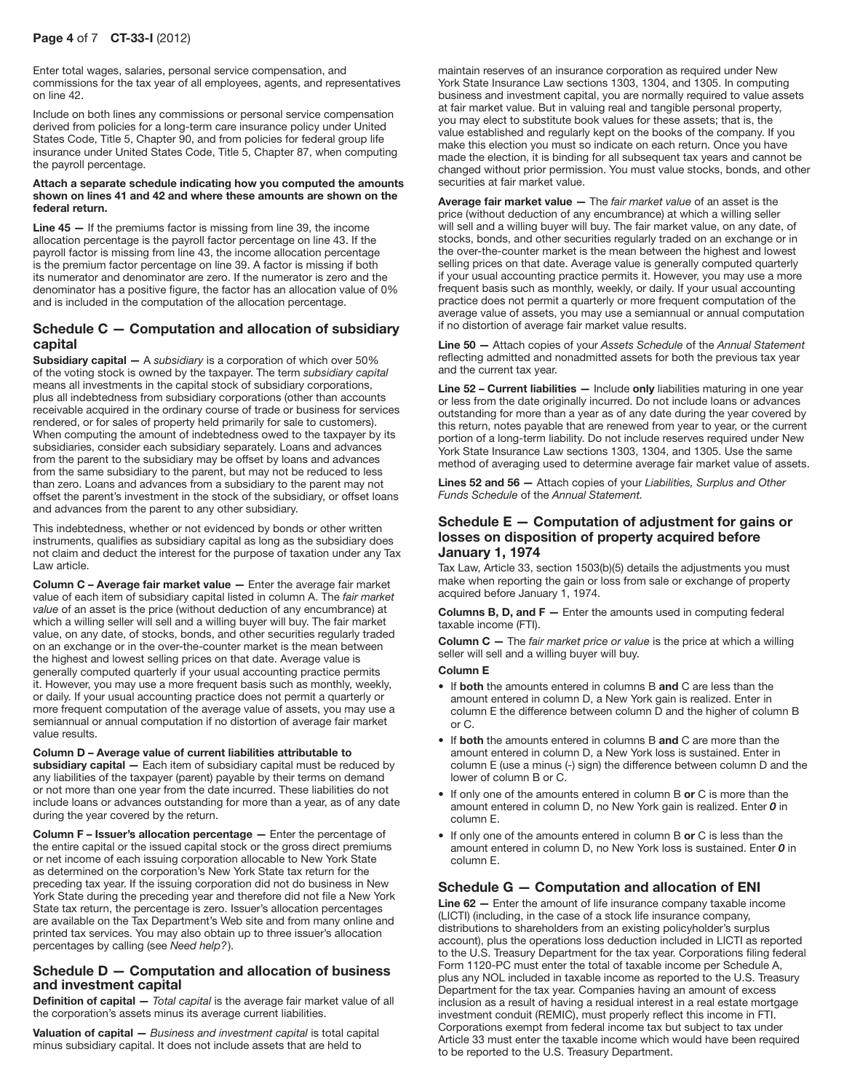## Page 4 of 7 CT-33-I (2012)

Enter total wages, salaries, personal service compensation, and commissions for the tax year of all employees, agents, and representatives on line 42.

Include on both lines any commissions or personal service compensation derived from policies for a long-term care insurance policy under United States Code, Title 5, Chapter 90, and from policies for federal group life insurance under United States Code, Title 5, Chapter 87, when computing the payroll percentage.

#### Attach a separate schedule indicating how you computed the amounts shown on lines 41 and 42 and where these amounts are shown on the federal return.

Line 45 - If the premiums factor is missing from line 39, the income allocation percentage is the payroll factor percentage on line 43. If the payroll factor is missing from line 43, the income allocation percentage is the premium factor percentage on line 39. A factor is missing if both its numerator and denominator are zero. If the numerator is zero and the denominator has a positive figure, the factor has an allocation value of 0% and is included in the computation of the allocation percentage.

## Schedule C — Computation and allocation of subsidiary capital

Subsidiary capital — A *subsidiary* is a corporation of which over 50% of the voting stock is owned by the taxpayer. The term *subsidiary capital* means all investments in the capital stock of subsidiary corporations, plus all indebtedness from subsidiary corporations (other than accounts receivable acquired in the ordinary course of trade or business for services rendered, or for sales of property held primarily for sale to customers). When computing the amount of indebtedness owed to the taxpayer by its subsidiaries, consider each subsidiary separately. Loans and advances from the parent to the subsidiary may be offset by loans and advances from the same subsidiary to the parent, but may not be reduced to less than zero. Loans and advances from a subsidiary to the parent may not offset the parent's investment in the stock of the subsidiary, or offset loans and advances from the parent to any other subsidiary.

This indebtedness, whether or not evidenced by bonds or other written instruments, qualifies as subsidiary capital as long as the subsidiary does not claim and deduct the interest for the purpose of taxation under any Tax Law article.

Column C – Average fair market value — Enter the average fair market value of each item of subsidiary capital listed in column A. The *fair market value* of an asset is the price (without deduction of any encumbrance) at which a willing seller will sell and a willing buyer will buy. The fair market value, on any date, of stocks, bonds, and other securities regularly traded on an exchange or in the over-the-counter market is the mean between the highest and lowest selling prices on that date. Average value is generally computed quarterly if your usual accounting practice permits it. However, you may use a more frequent basis such as monthly, weekly, or daily. If your usual accounting practice does not permit a quarterly or more frequent computation of the average value of assets, you may use a semiannual or annual computation if no distortion of average fair market value results.

Column D – Average value of current liabilities attributable to subsidiary capital - Each item of subsidiary capital must be reduced by any liabilities of the taxpayer (parent) payable by their terms on demand or not more than one year from the date incurred. These liabilities do not include loans or advances outstanding for more than a year, as of any date during the year covered by the return.

Column F – Issuer's allocation percentage — Enter the percentage of the entire capital or the issued capital stock or the gross direct premiums or net income of each issuing corporation allocable to New York State as determined on the corporation's New York State tax return for the preceding tax year. If the issuing corporation did not do business in New York State during the preceding year and therefore did not file a New York State tax return, the percentage is zero. Issuer's allocation percentages are available on the Tax Department's Web site and from many online and printed tax services. You may also obtain up to three issuer's allocation percentages by calling (see *Need help?*).

## Schedule D — Computation and allocation of business and investment capital

Definition of capital — *Total capital* is the average fair market value of all the corporation's assets minus its average current liabilities.

Valuation of capital — *Business and investment capital* is total capital minus subsidiary capital. It does not include assets that are held to

maintain reserves of an insurance corporation as required under New York State Insurance Law sections 1303, 1304, and 1305. In computing business and investment capital, you are normally required to value assets at fair market value. But in valuing real and tangible personal property, you may elect to substitute book values for these assets; that is, the value established and regularly kept on the books of the company. If you make this election you must so indicate on each return. Once you have made the election, it is binding for all subsequent tax years and cannot be changed without prior permission. You must value stocks, bonds, and other securities at fair market value.

Average fair market value — The *fair market value* of an asset is the price (without deduction of any encumbrance) at which a willing seller will sell and a willing buyer will buy. The fair market value, on any date, of stocks, bonds, and other securities regularly traded on an exchange or in the over-the-counter market is the mean between the highest and lowest selling prices on that date. Average value is generally computed quarterly if your usual accounting practice permits it. However, you may use a more frequent basis such as monthly, weekly, or daily. If your usual accounting practice does not permit a quarterly or more frequent computation of the average value of assets, you may use a semiannual or annual computation if no distortion of average fair market value results.

Line 50 — Attach copies of your *Assets Schedule* of the *Annual Statement* reflecting admitted and nonadmitted assets for both the previous tax year and the current tax year.

Line 52 - Current liabilities - Include only liabilities maturing in one year or less from the date originally incurred. Do not include loans or advances outstanding for more than a year as of any date during the year covered by this return, notes payable that are renewed from year to year, or the current portion of a long-term liability. Do not include reserves required under New York State Insurance Law sections 1303, 1304, and 1305. Use the same method of averaging used to determine average fair market value of assets.

Lines 52 and 56 — Attach copies of your *Liabilities, Surplus and Other Funds Schedule* of the *Annual Statement.*

## Schedule E — Computation of adjustment for gains or losses on disposition of property acquired before January 1, 1974

Tax Law, Article 33, section 1503(b)(5) details the adjustments you must make when reporting the gain or loss from sale or exchange of property acquired before January 1, 1974.

**Columns B, D, and F**  $-$  Enter the amounts used in computing federal taxable income (FTI).

Column C — The *fair market price or value* is the price at which a willing seller will sell and a willing buyer will buy.

#### Column E

- If both the amounts entered in columns B and C are less than the amount entered in column D, a New York gain is realized. Enter in column E the difference between column D and the higher of column B or C.
- If both the amounts entered in columns B and C are more than the amount entered in column D, a New York loss is sustained. Enter in column E (use a minus (-) sign) the difference between column D and the lower of column B or C.
- If only one of the amounts entered in column B or C is more than the amount entered in column D, no New York gain is realized. Enter *0* in column E.
- If only one of the amounts entered in column B or C is less than the amount entered in column D, no New York loss is sustained. Enter *0* in column E.

### Schedule G — Computation and allocation of ENI

Line 62 – Enter the amount of life insurance company taxable income (LICTI) (including, in the case of a stock life insurance company, distributions to shareholders from an existing policyholder's surplus account), plus the operations loss deduction included in LICTI as reported to the U.S. Treasury Department for the tax year. Corporations filing federal Form 1120-PC must enter the total of taxable income per Schedule A, plus any NOL included in taxable income as reported to the U.S. Treasury Department for the tax year. Companies having an amount of excess inclusion as a result of having a residual interest in a real estate mortgage investment conduit (REMIC), must properly reflect this income in FTI. Corporations exempt from federal income tax but subject to tax under Article 33 must enter the taxable income which would have been required to be reported to the U.S. Treasury Department.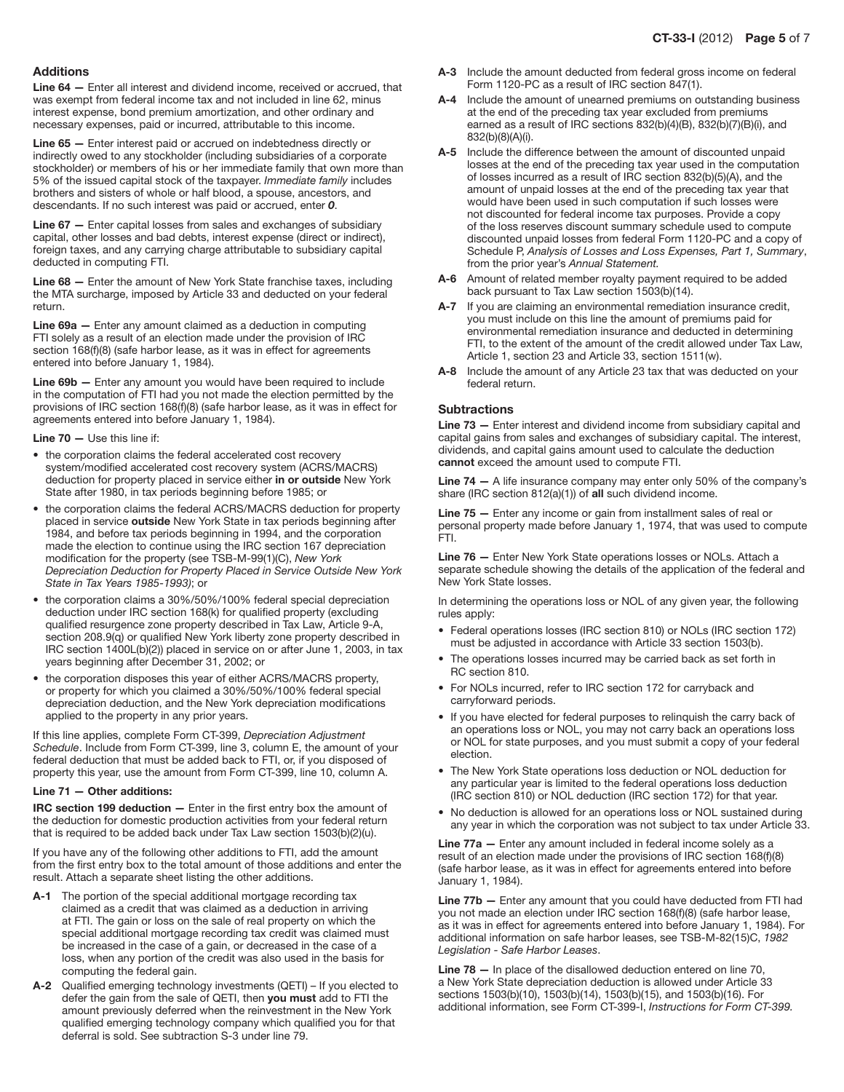#### Additions

Line 64 — Enter all interest and dividend income, received or accrued, that was exempt from federal income tax and not included in line 62, minus interest expense, bond premium amortization, and other ordinary and necessary expenses, paid or incurred, attributable to this income.

Line 65 — Enter interest paid or accrued on indebtedness directly or indirectly owed to any stockholder (including subsidiaries of a corporate stockholder) or members of his or her immediate family that own more than 5% of the issued capital stock of the taxpayer. *Immediate family* includes brothers and sisters of whole or half blood, a spouse, ancestors, and descendants. If no such interest was paid or accrued, enter *0*.

Line 67 - Enter capital losses from sales and exchanges of subsidiary capital, other losses and bad debts, interest expense (direct or indirect), foreign taxes, and any carrying charge attributable to subsidiary capital deducted in computing FTI.

Line 68 — Enter the amount of New York State franchise taxes, including the MTA surcharge, imposed by Article 33 and deducted on your federal return.

Line 69a — Enter any amount claimed as a deduction in computing FTI solely as a result of an election made under the provision of IRC section 168(f)(8) (safe harbor lease, as it was in effect for agreements entered into before January 1, 1984).

Line 69b – Enter any amount you would have been required to include in the computation of FTI had you not made the election permitted by the provisions of IRC section 168(f)(8) (safe harbor lease, as it was in effect for agreements entered into before January 1, 1984).

Line 70 — Use this line if:

- the corporation claims the federal accelerated cost recovery system/modified accelerated cost recovery system (ACRS/MACRS) deduction for property placed in service either in or outside New York State after 1980, in tax periods beginning before 1985; or
- the corporation claims the federal ACRS/MACRS deduction for property placed in service outside New York State in tax periods beginning after 1984, and before tax periods beginning in 1994, and the corporation made the election to continue using the IRC section 167 depreciation modification for the property (see TSB‑M‑99(1)(C), *New York Depreciation Deduction for Property Placed in Service Outside New York State in Tax Years 1985-1993)*; or
- the corporation claims a 30%/50%/100% federal special depreciation deduction under IRC section 168(k) for qualified property (excluding qualified resurgence zone property described in Tax Law, Article 9‑A, section 208.9(q) or qualified New York liberty zone property described in IRC section 1400L(b)(2)) placed in service on or after June 1, 2003, in tax years beginning after December 31, 2002; or
- the corporation disposes this year of either ACRS/MACRS property, or property for which you claimed a 30%/50%/100% federal special depreciation deduction, and the New York depreciation modifications applied to the property in any prior years.

If this line applies, complete Form CT‑399, *Depreciation Adjustment Schedule*. Include from Form CT‑399, line 3, column E, the amount of your federal deduction that must be added back to FTI, or, if you disposed of property this year, use the amount from Form CT‑399, line 10, column A.

#### Line 71 — Other additions:

IRC section 199 deduction — Enter in the first entry box the amount of the deduction for domestic production activities from your federal return that is required to be added back under Tax Law section 1503(b)(2)(u).

If you have any of the following other additions to FTI, add the amount from the first entry box to the total amount of those additions and enter the result. Attach a separate sheet listing the other additions.

- A-1 The portion of the special additional mortgage recording tax claimed as a credit that was claimed as a deduction in arriving at FTI. The gain or loss on the sale of real property on which the special additional mortgage recording tax credit was claimed must be increased in the case of a gain, or decreased in the case of a loss, when any portion of the credit was also used in the basis for computing the federal gain.
- A-2 Qualified emerging technology investments (QETI) If you elected to defer the gain from the sale of QETI, then you must add to FTI the amount previously deferred when the reinvestment in the New York qualified emerging technology company which qualified you for that deferral is sold. See subtraction S-3 under line 79.
- A-3 Include the amount deducted from federal gross income on federal Form 1120-PC as a result of IRC section 847(1).
- A-4 Include the amount of unearned premiums on outstanding business at the end of the preceding tax year excluded from premiums earned as a result of IRC sections 832(b)(4)(B), 832(b)(7)(B)(i), and 832(b)(8)(A)(i).
- A-5 Include the difference between the amount of discounted unpaid losses at the end of the preceding tax year used in the computation of losses incurred as a result of IRC section 832(b)(5)(A), and the amount of unpaid losses at the end of the preceding tax year that would have been used in such computation if such losses were not discounted for federal income tax purposes. Provide a copy of the loss reserves discount summary schedule used to compute discounted unpaid losses from federal Form 1120-PC and a copy of Schedule P, *Analysis of Losses and Loss Expenses, Part 1, Summary*, from the prior year's *Annual Statement.*
- A-6 Amount of related member royalty payment required to be added back pursuant to Tax Law section 1503(b)(14).
- A-7 If you are claiming an environmental remediation insurance credit. you must include on this line the amount of premiums paid for environmental remediation insurance and deducted in determining FTI, to the extent of the amount of the credit allowed under Tax Law, Article 1, section 23 and Article 33, section 1511(w).
- A-8 Include the amount of any Article 23 tax that was deducted on your federal return.

#### Subtractions

Line 73 — Enter interest and dividend income from subsidiary capital and capital gains from sales and exchanges of subsidiary capital. The interest, dividends, and capital gains amount used to calculate the deduction cannot exceed the amount used to compute FTI.

Line 74 — A life insurance company may enter only 50% of the company's share (IRC section 812(a)(1)) of all such dividend income.

Line 75 – Enter any income or gain from installment sales of real or personal property made before January 1, 1974, that was used to compute FTI.

Line 76 — Enter New York State operations losses or NOLs. Attach a separate schedule showing the details of the application of the federal and New York State losses.

In determining the operations loss or NOL of any given year, the following rules apply:

- Federal operations losses (IRC section 810) or NOLs (IRC section 172) must be adjusted in accordance with Article 33 section 1503(b).
- The operations losses incurred may be carried back as set forth in RC section 810.
- • For NOLs incurred, refer to IRC section 172 for carryback and carryforward periods.
- If you have elected for federal purposes to relinguish the carry back of an operations loss or NOL, you may not carry back an operations loss or NOL for state purposes, and you must submit a copy of your federal election.
- The New York State operations loss deduction or NOL deduction for any particular year is limited to the federal operations loss deduction (IRC section 810) or NOL deduction (IRC section 172) for that year.
- No deduction is allowed for an operations loss or NOL sustained during any year in which the corporation was not subject to tax under Article 33.

Line 77a - Enter any amount included in federal income solely as a result of an election made under the provisions of IRC section 168(f)(8) (safe harbor lease, as it was in effect for agreements entered into before January 1, 1984).

Line 77b — Enter any amount that you could have deducted from FTI had you not made an election under IRC section 168(f)(8) (safe harbor lease, as it was in effect for agreements entered into before January 1, 1984). For additional information on safe harbor leases, see TSB-M-82(15)C, *1982 Legislation - Safe Harbor Leases*.

Line 78 — In place of the disallowed deduction entered on line 70, a New York State depreciation deduction is allowed under Article 33 sections 1503(b)(10), 1503(b)(14), 1503(b)(15), and 1503(b)(16). For additional information, see Form CT-399-I, *Instructions for Form CT-399.*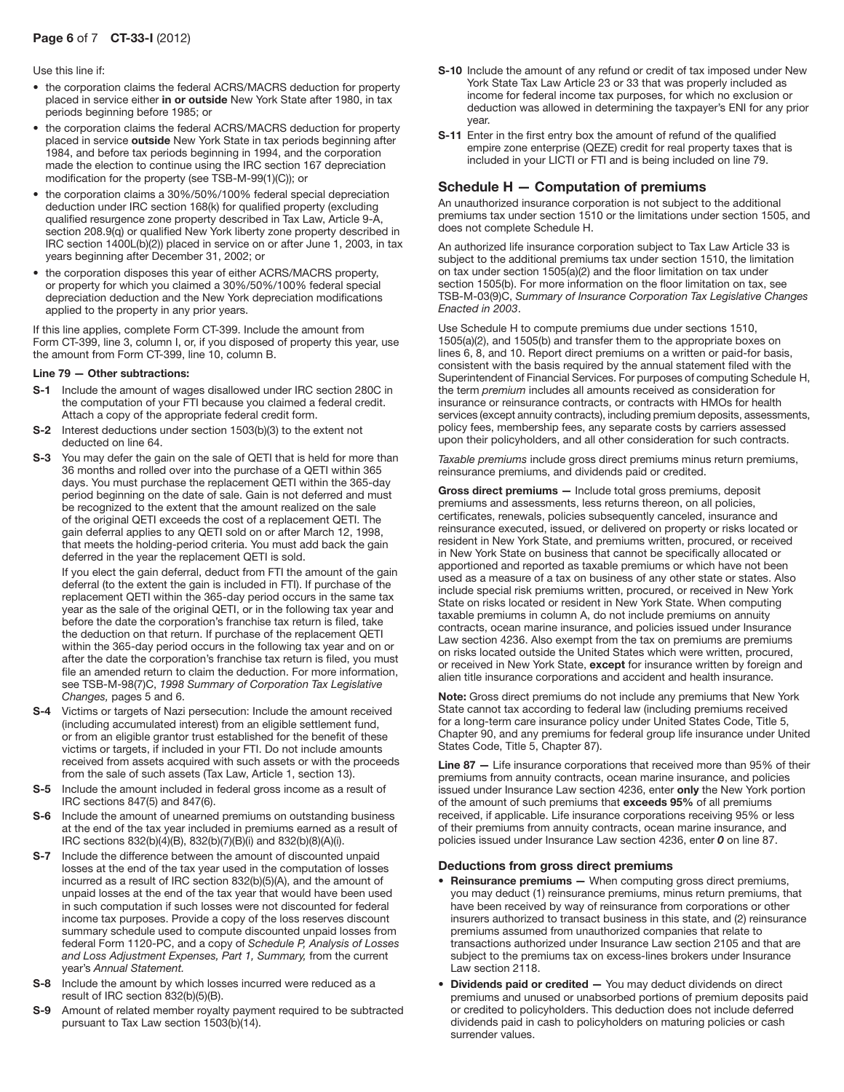## Page 6 of 7 CT-33-I (2012)

#### Use this line if:

- the corporation claims the federal ACRS/MACRS deduction for property placed in service either in or outside New York State after 1980, in tax periods beginning before 1985; or
- the corporation claims the federal ACRS/MACRS deduction for property placed in service outside New York State in tax periods beginning after 1984, and before tax periods beginning in 1994, and the corporation made the election to continue using the IRC section 167 depreciation modification for the property (see TSB-M-99(1)(C)); or
- the corporation claims a 30%/50%/100% federal special depreciation deduction under IRC section 168(k) for qualified property (excluding qualified resurgence zone property described in Tax Law, Article 9-A, section 208.9(q) or qualified New York liberty zone property described in IRC section 1400L(b)(2)) placed in service on or after June 1, 2003, in tax years beginning after December 31, 2002; or
- the corporation disposes this year of either ACRS/MACRS property, or property for which you claimed a 30%/50%/100% federal special depreciation deduction and the New York depreciation modifications applied to the property in any prior years.

If this line applies, complete Form CT‑399. Include the amount from Form CT-399, line 3, column I, or, if you disposed of property this year, use the amount from Form CT‑399, line 10, column B.

#### Line 79 — Other subtractions:

- S-1 Include the amount of wages disallowed under IRC section 280C in the computation of your FTI because you claimed a federal credit. Attach a copy of the appropriate federal credit form.
- S-2 Interest deductions under section 1503(b)(3) to the extent not deducted on line 64.
- S-3 You may defer the gain on the sale of QETI that is held for more than 36 months and rolled over into the purchase of a QETI within 365 days. You must purchase the replacement QETI within the 365-day period beginning on the date of sale. Gain is not deferred and must be recognized to the extent that the amount realized on the sale of the original QETI exceeds the cost of a replacement QETI. The gain deferral applies to any QETI sold on or after March 12, 1998, that meets the holding-period criteria. You must add back the gain deferred in the year the replacement QETI is sold.

 If you elect the gain deferral, deduct from FTI the amount of the gain deferral (to the extent the gain is included in FTI). If purchase of the replacement QETI within the 365‑day period occurs in the same tax year as the sale of the original QETI, or in the following tax year and before the date the corporation's franchise tax return is filed, take the deduction on that return. If purchase of the replacement QETI within the 365‑day period occurs in the following tax year and on or after the date the corporation's franchise tax return is filed, you must file an amended return to claim the deduction. For more information, see TSB‑M‑98(7)C, *1998 Summary of Corporation Tax Legislative Changes,* pages 5 and 6.

- S-4 Victims or targets of Nazi persecution: Include the amount received (including accumulated interest) from an eligible settlement fund, or from an eligible grantor trust established for the benefit of these victims or targets, if included in your FTI. Do not include amounts received from assets acquired with such assets or with the proceeds from the sale of such assets (Tax Law, Article 1, section 13).
- S-5 Include the amount included in federal gross income as a result of IRC sections 847(5) and 847(6).
- S-6 Include the amount of unearned premiums on outstanding business at the end of the tax year included in premiums earned as a result of IRC sections 832(b)(4)(B), 832(b)(7)(B)(i) and 832(b)(8)(A)(i).
- S-7 Include the difference between the amount of discounted unpaid losses at the end of the tax year used in the computation of losses incurred as a result of IRC section 832(b)(5)(A), and the amount of unpaid losses at the end of the tax year that would have been used in such computation if such losses were not discounted for federal income tax purposes. Provide a copy of the loss reserves discount summary schedule used to compute discounted unpaid losses from federal Form 1120-PC, and a copy of *Schedule P, Analysis of Losses and Loss Adjustment Expenses, Part 1, Summary,* from the current year's *Annual Statement.*
- S-8 Include the amount by which losses incurred were reduced as a result of IRC section 832(b)(5)(B).
- S-9 Amount of related member royalty payment required to be subtracted pursuant to Tax Law section 1503(b)(14).
- S-10 Include the amount of any refund or credit of tax imposed under New York State Tax Law Article 23 or 33 that was properly included as income for federal income tax purposes, for which no exclusion or deduction was allowed in determining the taxpayer's ENI for any prior year.
- S-11 Enter in the first entry box the amount of refund of the qualified empire zone enterprise (QEZE) credit for real property taxes that is included in your LICTI or FTI and is being included on line 79.

## Schedule H — Computation of premiums

An unauthorized insurance corporation is not subject to the additional premiums tax under section 1510 or the limitations under section 1505, and does not complete Schedule H.

An authorized life insurance corporation subject to Tax Law Article 33 is subject to the additional premiums tax under section 1510, the limitation on tax under section 1505(a)(2) and the floor limitation on tax under section 1505(b). For more information on the floor limitation on tax, see TSB-M-03(9)C, *Summary of Insurance Corporation Tax Legislative Changes Enacted in 2003*.

Use Schedule H to compute premiums due under sections 1510, 1505(a)(2), and 1505(b) and transfer them to the appropriate boxes on lines 6, 8, and 10. Report direct premiums on a written or paid-for basis, consistent with the basis required by the annual statement filed with the Superintendent of Financial Services. For purposes of computing Schedule H, the term *premium* includes all amounts received as consideration for insurance or reinsurance contracts, or contracts with HMOs for health services (except annuity contracts), including premium deposits, assessments, policy fees, membership fees, any separate costs by carriers assessed upon their policyholders, and all other consideration for such contracts.

*Taxable premiums* include gross direct premiums minus return premiums, reinsurance premiums, and dividends paid or credited.

Gross direct premiums — Include total gross premiums, deposit premiums and assessments, less returns thereon, on all policies, certificates, renewals, policies subsequently canceled, insurance and reinsurance executed, issued, or delivered on property or risks located or resident in New York State, and premiums written, procured, or received in New York State on business that cannot be specifically allocated or apportioned and reported as taxable premiums or which have not been used as a measure of a tax on business of any other state or states. Also include special risk premiums written, procured, or received in New York State on risks located or resident in New York State. When computing taxable premiums in column A, do not include premiums on annuity contracts, ocean marine insurance, and policies issued under Insurance Law section 4236. Also exempt from the tax on premiums are premiums on risks located outside the United States which were written, procured, or received in New York State, except for insurance written by foreign and alien title insurance corporations and accident and health insurance.

Note: Gross direct premiums do not include any premiums that New York State cannot tax according to federal law (including premiums received for a long-term care insurance policy under United States Code, Title 5, Chapter 90, and any premiums for federal group life insurance under United States Code, Title 5, Chapter 87).

Line 87 - Life insurance corporations that received more than 95% of their premiums from annuity contracts, ocean marine insurance, and policies issued under Insurance Law section 4236, enter only the New York portion of the amount of such premiums that exceeds 95% of all premiums received, if applicable. Life insurance corporations receiving 95% or less of their premiums from annuity contracts, ocean marine insurance, and policies issued under Insurance Law section 4236, enter *0* on line 87.

#### Deductions from gross direct premiums

- Reinsurance premiums When computing gross direct premiums, you may deduct (1) reinsurance premiums, minus return premiums, that have been received by way of reinsurance from corporations or other insurers authorized to transact business in this state, and (2) reinsurance premiums assumed from unauthorized companies that relate to transactions authorized under Insurance Law section 2105 and that are subject to the premiums tax on excess-lines brokers under Insurance Law section 2118.
- Dividends paid or credited You may deduct dividends on direct premiums and unused or unabsorbed portions of premium deposits paid or credited to policyholders. This deduction does not include deferred dividends paid in cash to policyholders on maturing policies or cash surrender values.